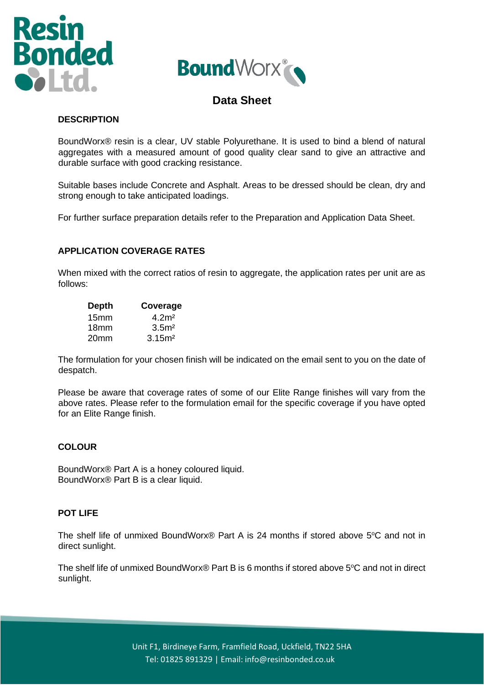



# **Data Sheet**

## **DESCRIPTION**

BoundWorx® resin is a clear, UV stable Polyurethane. It is used to bind a blend of natural aggregates with a measured amount of good quality clear sand to give an attractive and durable surface with good cracking resistance.

Suitable bases include Concrete and Asphalt. Areas to be dressed should be clean, dry and strong enough to take anticipated loadings.

For further surface preparation details refer to the Preparation and Application Data Sheet.

## **APPLICATION COVERAGE RATES**

When mixed with the correct ratios of resin to aggregate, the application rates per unit are as follows:

| <b>Depth</b>     | Coverage           |
|------------------|--------------------|
| 15 <sub>mm</sub> | 4.2 <sup>m²</sup>  |
| 18mm             | 3.5 <sup>m</sup>   |
| 20 <sub>mm</sub> | 3.15 <sup>m²</sup> |

The formulation for your chosen finish will be indicated on the email sent to you on the date of despatch.

Please be aware that coverage rates of some of our Elite Range finishes will vary from the above rates. Please refer to the formulation email for the specific coverage if you have opted for an Elite Range finish.

#### **COLOUR**

BoundWorx® Part A is a honey coloured liquid. BoundWorx® Part B is a clear liquid.

#### **POT LIFE**

The shelf life of unmixed BoundWorx® Part A is 24 months if stored above  $5^{\circ}$ C and not in direct sunlight.

The shelf life of unmixed BoundWorx® Part B is 6 months if stored above  $5^{\circ}$ C and not in direct sunlight.